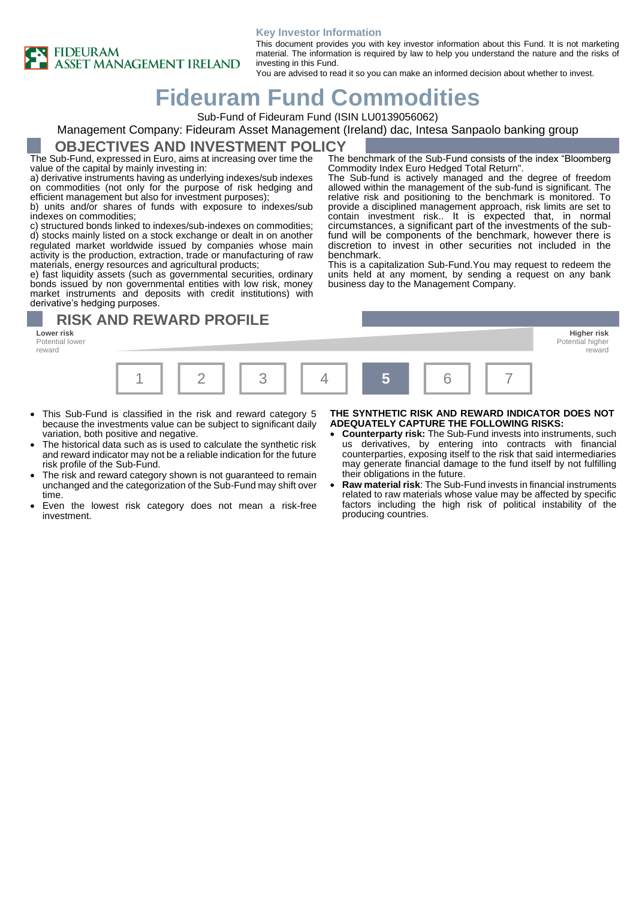#### **Key Investor Information**



This document provides you with key investor information about this Fund. It is not marketing material. The information is required by law to help you understand the nature and the risks of investing in this Fund.

You are advised to read it so you can make an informed decision about whether to invest.

# **Fideuram Fund Commodities**

Sub-Fund of Fideuram Fund (ISIN LU0139056062)

### Management Company: Fideuram Asset Management (Ireland) dac, Intesa Sanpaolo banking group

### **OBJECTIVES AND INVESTMENT POLICY**

The Sub-Fund, expressed in Euro, aims at increasing over time the value of the capital by mainly investing in:

a) derivative instruments having as underlying indexes/sub indexes on commodities (not only for the purpose of risk hedging and efficient management but also for investment purposes);

b) units and/or shares of funds with exposure to indexes/sub indexes on commodities;

c) structured bonds linked to indexes/sub-indexes on commodities; d) stocks mainly listed on a stock exchange or dealt in on another regulated market worldwide issued by companies whose main activity is the production, extraction, trade or manufacturing of raw materials, energy resources and agricultural products;

e) fast liquidity assets (such as governmental securities, ordinary bonds issued by non governmental entities with low risk, money market instruments and deposits with credit institutions) with derivative's hedging purposes.

# **RISK AND REWARD PROFILE**

Potential lower reward



- This Sub-Fund is classified in the risk and reward category 5 because the investments value can be subject to significant daily variation, both positive and negative.
- The historical data such as is used to calculate the synthetic risk and reward indicator may not be a reliable indication for the future risk profile of the Sub-Fund.
- The risk and reward category shown is not guaranteed to remain unchanged and the categorization of the Sub-Fund may shift over time.
- Even the lowest risk category does not mean a risk-free investment.

#### **THE SYNTHETIC RISK AND REWARD INDICATOR DOES NOT ADEQUATELY CAPTURE THE FOLLOWING RISKS:**

- **Counterparty risk:** The Sub-Fund invests into instruments, such us derivatives, by entering into contracts with financial counterparties, exposing itself to the risk that said intermediaries may generate financial damage to the fund itself by not fulfilling their obligations in the future.
- **Raw material risk**: The Sub-Fund invests in financial instruments related to raw materials whose value may be affected by specific factors including the high risk of political instability of the producing countries.

The benchmark of the Sub-Fund consists of the index "Bloomberg Commodity Index Euro Hedged Total Return".

The Sub-fund is actively managed and the degree of freedom allowed within the management of the sub-fund is significant. The relative risk and positioning to the benchmark is monitored. To provide a disciplined management approach, risk limits are set to contain investment risk.. It is expected that, in normal circumstances, a significant part of the investments of the subfund will be components of the benchmark, however there is discretion to invest in other securities not included in the benchmark.

This is a capitalization Sub-Fund.You may request to redeem the units held at any moment, by sending a request on any bank business day to the Management Company.